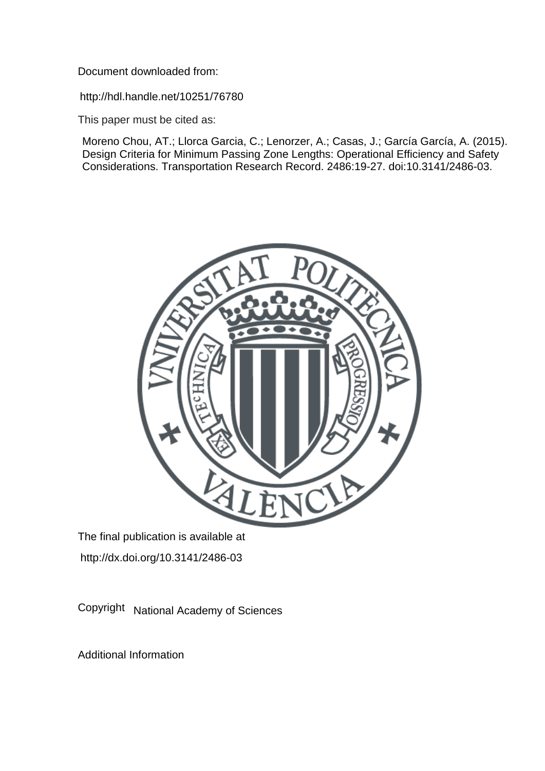Document downloaded from:

http://hdl.handle.net/10251/76780

This paper must be cited as:

Moreno Chou, AT.; Llorca Garcia, C.; Lenorzer, A.; Casas, J.; García García, A. (2015). Design Criteria for Minimum Passing Zone Lengths: Operational Efficiency and Safety Considerations. Transportation Research Record. 2486:19-27. doi:10.3141/2486-03.



The final publication is available at http://dx.doi.org/10.3141/2486-03

Copyright National Academy of Sciences

Additional Information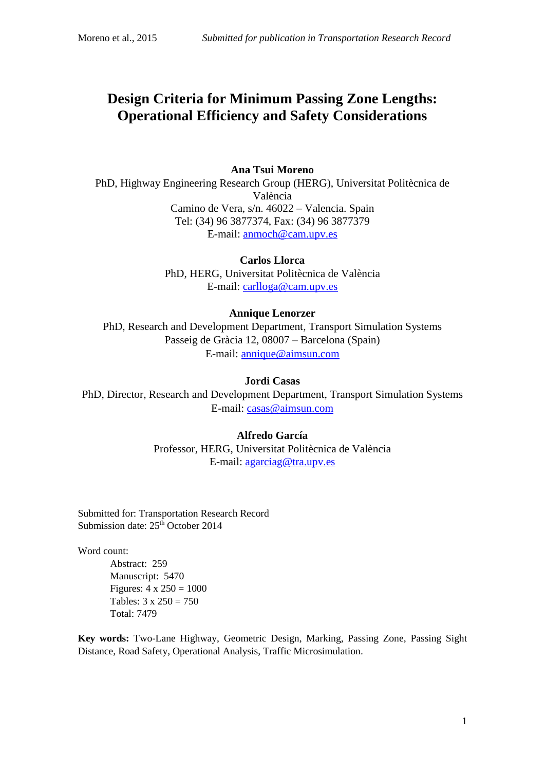# **Design Criteria for Minimum Passing Zone Lengths: Operational Efficiency and Safety Considerations**

## **Ana Tsui Moreno**

PhD, Highway Engineering Research Group (HERG), Universitat Politècnica de València Camino de Vera, s/n. 46022 – Valencia. Spain Tel: (34) 96 3877374, Fax: (34) 96 3877379 E-mail: anmoch@cam.upv.es

> **Carlos Llorca** PhD, HERG, Universitat Politècnica de València E-mail: carlloga@cam.upv.es

## **Annique Lenorzer**

PhD, Research and Development Department, Transport Simulation Systems Passeig de Gràcia 12, 08007 – Barcelona (Spain) E-mail: annique@aimsun.com

## **Jordi Casas**

PhD, Director, Research and Development Department, Transport Simulation Systems E-mail: casas@aimsun.com

# **Alfredo García**

Professor, HERG, Universitat Politècnica de València E-mail: agarciag@tra.upv.es

Submitted for: Transportation Research Record Submission date:  $25<sup>th</sup>$  October 2014

Word count:

Abstract: 259 Manuscript: 5470 Figures:  $4 \times 250 = 1000$ Tables:  $3 \times 250 = 750$ Total: 7479

**Key words:** Two-Lane Highway, Geometric Design, Marking, Passing Zone, Passing Sight Distance, Road Safety, Operational Analysis, Traffic Microsimulation.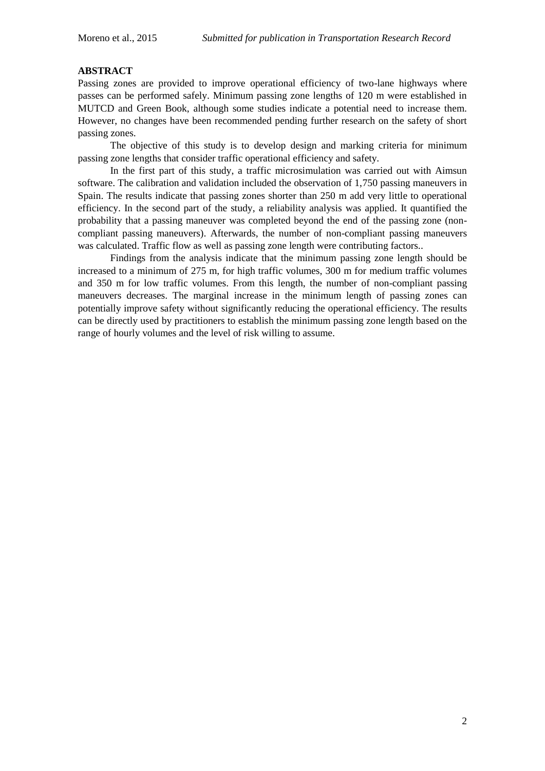# **ABSTRACT**

Passing zones are provided to improve operational efficiency of two-lane highways where passes can be performed safely. Minimum passing zone lengths of 120 m were established in MUTCD and Green Book, although some studies indicate a potential need to increase them. However, no changes have been recommended pending further research on the safety of short passing zones.

The objective of this study is to develop design and marking criteria for minimum passing zone lengths that consider traffic operational efficiency and safety.

In the first part of this study, a traffic microsimulation was carried out with Aimsun software. The calibration and validation included the observation of 1,750 passing maneuvers in Spain. The results indicate that passing zones shorter than 250 m add very little to operational efficiency. In the second part of the study, a reliability analysis was applied. It quantified the probability that a passing maneuver was completed beyond the end of the passing zone (noncompliant passing maneuvers). Afterwards, the number of non-compliant passing maneuvers was calculated. Traffic flow as well as passing zone length were contributing factors..

Findings from the analysis indicate that the minimum passing zone length should be increased to a minimum of 275 m, for high traffic volumes, 300 m for medium traffic volumes and 350 m for low traffic volumes. From this length, the number of non-compliant passing maneuvers decreases. The marginal increase in the minimum length of passing zones can potentially improve safety without significantly reducing the operational efficiency. The results can be directly used by practitioners to establish the minimum passing zone length based on the range of hourly volumes and the level of risk willing to assume.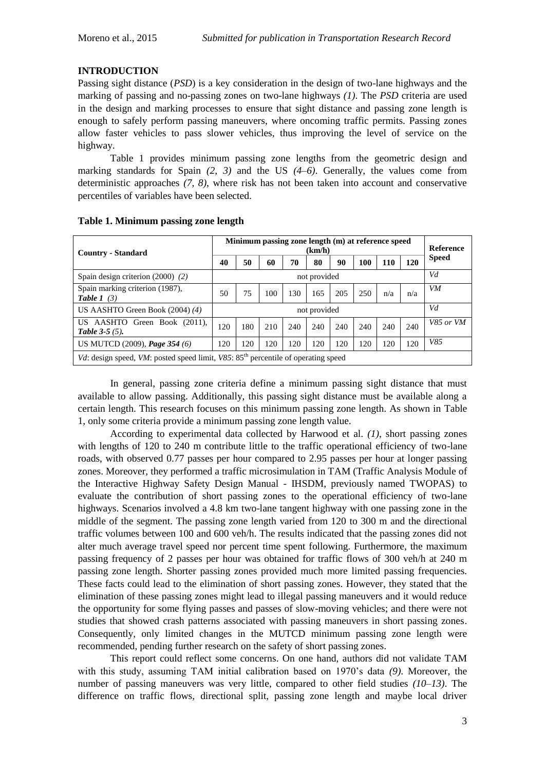## **INTRODUCTION**

Passing sight distance (*PSD*) is a key consideration in the design of two-lane highways and the marking of passing and no-passing zones on two-lane highways *(1)*. The *PSD* criteria are used in the design and marking processes to ensure that sight distance and passing zone length is enough to safely perform passing maneuvers, where oncoming traffic permits. Passing zones allow faster vehicles to pass slower vehicles, thus improving the level of service on the highway.

[Table 1](#page-3-0) provides minimum passing zone lengths from the geometric design and marking standards for Spain *(2, 3)* and the US *(4–6)*. Generally, the values come from deterministic approaches *(7, 8)*, where risk has not been taken into account and conservative percentiles of variables have been selected.

| <b>Country - Standard</b>                                                                     |                    | Minimum passing zone length (m) at reference speed<br>(km/h) |     |     |     |     |     |     |     |              |
|-----------------------------------------------------------------------------------------------|--------------------|--------------------------------------------------------------|-----|-----|-----|-----|-----|-----|-----|--------------|
|                                                                                               |                    | 50                                                           | 60  | 70  | 80  | 90  | 100 | 110 | 120 | <b>Speed</b> |
| Spain design criterion $(2000)$ $(2)$                                                         | Vd<br>not provided |                                                              |     |     |     |     |     |     |     |              |
| Spain marking criterion (1987),<br>Table $1(3)$                                               | 50                 | 75                                                           | 100 | 130 | 165 | 205 | 250 | n/a | n/a | VM           |
| US AASHTO Green Book $(2004)$ $(4)$                                                           | Vd<br>not provided |                                                              |     |     |     |     |     |     |     |              |
| US AASHTO Green Book (2011),<br><b>Table 3-5</b> $(5)$ .                                      | 120                | 180                                                          | 210 | 240 | 240 | 240 | 240 | 240 | 240 | V85 or VM    |
| US MUTCD (2009), Page 354 (6)                                                                 | 120                | 120                                                          | 120 | 120 | 120 | 120 | 120 | 120 | 120 | V85          |
| Vd: design speed, VM: posted speed limit, V85: 85 <sup>th</sup> percentile of operating speed |                    |                                                              |     |     |     |     |     |     |     |              |

#### <span id="page-3-0"></span>**Table 1. Minimum passing zone length**

In general, passing zone criteria define a minimum passing sight distance that must available to allow passing. Additionally, this passing sight distance must be available along a certain length. This research focuses on this minimum passing zone length. As shown in [Table](#page-3-0)  [1,](#page-3-0) only some criteria provide a minimum passing zone length value.

According to experimental data collected by Harwood et al. *(1)*, short passing zones with lengths of 120 to 240 m contribute little to the traffic operational efficiency of two-lane roads, with observed 0.77 passes per hour compared to 2.95 passes per hour at longer passing zones. Moreover, they performed a traffic microsimulation in TAM (Traffic Analysis Module of the Interactive Highway Safety Design Manual - IHSDM, previously named TWOPAS) to evaluate the contribution of short passing zones to the operational efficiency of two-lane highways. Scenarios involved a 4.8 km two-lane tangent highway with one passing zone in the middle of the segment. The passing zone length varied from 120 to 300 m and the directional traffic volumes between 100 and 600 veh/h. The results indicated that the passing zones did not alter much average travel speed nor percent time spent following. Furthermore, the maximum passing frequency of 2 passes per hour was obtained for traffic flows of 300 veh/h at 240 m passing zone length. Shorter passing zones provided much more limited passing frequencies. These facts could lead to the elimination of short passing zones. However, they stated that the elimination of these passing zones might lead to illegal passing maneuvers and it would reduce the opportunity for some flying passes and passes of slow-moving vehicles; and there were not studies that showed crash patterns associated with passing maneuvers in short passing zones. Consequently, only limited changes in the MUTCD minimum passing zone length were recommended, pending further research on the safety of short passing zones.

This report could reflect some concerns. On one hand, authors did not validate TAM with this study, assuming TAM initial calibration based on 1970's data *(9)*. Moreover, the number of passing maneuvers was very little, compared to other field studies *(10–13)*. The difference on traffic flows, directional split, passing zone length and maybe local driver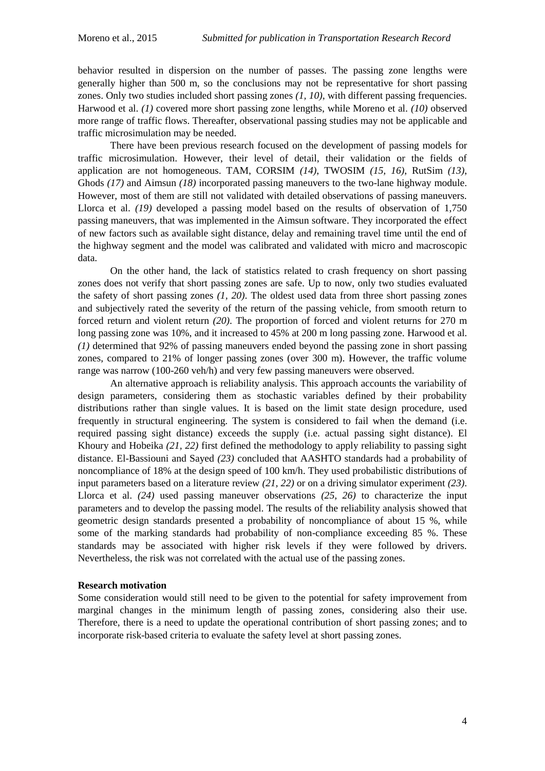behavior resulted in dispersion on the number of passes. The passing zone lengths were generally higher than 500 m, so the conclusions may not be representative for short passing zones. Only two studies included short passing zones *(1, 10)*, with different passing frequencies. Harwood et al. *(1)* covered more short passing zone lengths, while Moreno et al. *(10)* observed more range of traffic flows. Thereafter, observational passing studies may not be applicable and traffic microsimulation may be needed.

There have been previous research focused on the development of passing models for traffic microsimulation. However, their level of detail, their validation or the fields of application are not homogeneous. TAM, CORSIM *(14)*, TWOSIM *(15, 16)*, RutSim *(13)*, Ghods *(17)* and Aimsun *(18)* incorporated passing maneuvers to the two-lane highway module. However, most of them are still not validated with detailed observations of passing maneuvers. Llorca et al. *(19)* developed a passing model based on the results of observation of 1,750 passing maneuvers, that was implemented in the Aimsun software. They incorporated the effect of new factors such as available sight distance, delay and remaining travel time until the end of the highway segment and the model was calibrated and validated with micro and macroscopic data.

On the other hand, the lack of statistics related to crash frequency on short passing zones does not verify that short passing zones are safe. Up to now, only two studies evaluated the safety of short passing zones *(1, 20)*. The oldest used data from three short passing zones and subjectively rated the severity of the return of the passing vehicle, from smooth return to forced return and violent return *(20)*. The proportion of forced and violent returns for 270 m long passing zone was 10%, and it increased to 45% at 200 m long passing zone. Harwood et al. *(1)* determined that 92% of passing maneuvers ended beyond the passing zone in short passing zones, compared to 21% of longer passing zones (over 300 m). However, the traffic volume range was narrow (100-260 veh/h) and very few passing maneuvers were observed.

An alternative approach is reliability analysis. This approach accounts the variability of design parameters, considering them as stochastic variables defined by their probability distributions rather than single values. It is based on the limit state design procedure, used frequently in structural engineering. The system is considered to fail when the demand (i.e. required passing sight distance) exceeds the supply (i.e. actual passing sight distance). El Khoury and Hobeika *(21, 22)* first defined the methodology to apply reliability to passing sight distance. El-Bassiouni and Sayed *(23)* concluded that AASHTO standards had a probability of noncompliance of 18% at the design speed of 100 km/h. They used probabilistic distributions of input parameters based on a literature review *(21, 22)* or on a driving simulator experiment *(23)*. Llorca et al. *(24)* used passing maneuver observations *(25, 26)* to characterize the input parameters and to develop the passing model. The results of the reliability analysis showed that geometric design standards presented a probability of noncompliance of about 15 %, while some of the marking standards had probability of non-compliance exceeding 85 %. These standards may be associated with higher risk levels if they were followed by drivers. Nevertheless, the risk was not correlated with the actual use of the passing zones.

## **Research motivation**

Some consideration would still need to be given to the potential for safety improvement from marginal changes in the minimum length of passing zones, considering also their use. Therefore, there is a need to update the operational contribution of short passing zones; and to incorporate risk-based criteria to evaluate the safety level at short passing zones.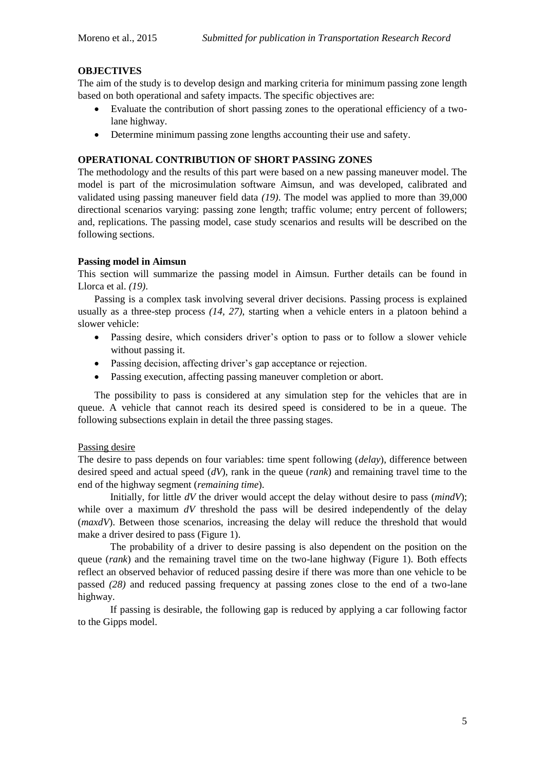# **OBJECTIVES**

The aim of the study is to develop design and marking criteria for minimum passing zone length based on both operational and safety impacts. The specific objectives are:

- Evaluate the contribution of short passing zones to the operational efficiency of a twolane highway.
- Determine minimum passing zone lengths accounting their use and safety.

# **OPERATIONAL CONTRIBUTION OF SHORT PASSING ZONES**

The methodology and the results of this part were based on a new passing maneuver model. The model is part of the microsimulation software Aimsun, and was developed, calibrated and validated using passing maneuver field data *(19)*. The model was applied to more than 39,000 directional scenarios varying: passing zone length; traffic volume; entry percent of followers; and, replications. The passing model, case study scenarios and results will be described on the following sections.

## **Passing model in Aimsun**

This section will summarize the passing model in Aimsun. Further details can be found in Llorca et al. *(19)*.

Passing is a complex task involving several driver decisions. Passing process is explained usually as a three-step process *(14, 27)*, starting when a vehicle enters in a platoon behind a slower vehicle:

- Passing desire, which considers driver's option to pass or to follow a slower vehicle without passing it.
- Passing decision, affecting driver's gap acceptance or rejection.
- Passing execution, affecting passing maneuver completion or abort.

The possibility to pass is considered at any simulation step for the vehicles that are in queue. A vehicle that cannot reach its desired speed is considered to be in a queue. The following subsections explain in detail the three passing stages.

## Passing desire

The desire to pass depends on four variables: time spent following (*delay*), difference between desired speed and actual speed (*dV*), rank in the queue (*rank*) and remaining travel time to the end of the highway segment (*remaining time*).

Initially, for little *dV* the driver would accept the delay without desire to pass (*mindV*); while over a maximum  $dV$  threshold the pass will be desired independently of the delay (*maxdV*). Between those scenarios, increasing the delay will reduce the threshold that would make a driver desired to pass [\(Figure 1\)](#page-6-0).

The probability of a driver to desire passing is also dependent on the position on the queue (*rank*) and the remaining travel time on the two-lane highway [\(Figure 1\)](#page-6-0). Both effects reflect an observed behavior of reduced passing desire if there was more than one vehicle to be passed *(28)* and reduced passing frequency at passing zones close to the end of a two-lane highway.

If passing is desirable, the following gap is reduced by applying a car following factor to the Gipps model.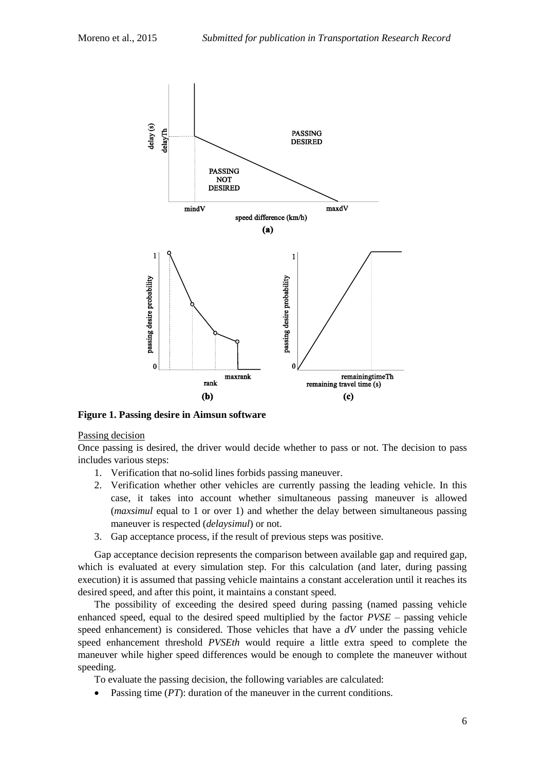

<span id="page-6-0"></span>**Figure 1. Passing desire in Aimsun software**

## Passing decision

Once passing is desired, the driver would decide whether to pass or not. The decision to pass includes various steps:

- 1. Verification that no-solid lines forbids passing maneuver.
- 2. Verification whether other vehicles are currently passing the leading vehicle. In this case, it takes into account whether simultaneous passing maneuver is allowed (*maxsimul* equal to 1 or over 1) and whether the delay between simultaneous passing maneuver is respected (*delaysimul*) or not.
- 3. Gap acceptance process, if the result of previous steps was positive.

Gap acceptance decision represents the comparison between available gap and required gap, which is evaluated at every simulation step. For this calculation (and later, during passing execution) it is assumed that passing vehicle maintains a constant acceleration until it reaches its desired speed, and after this point, it maintains a constant speed.

The possibility of exceeding the desired speed during passing (named passing vehicle enhanced speed, equal to the desired speed multiplied by the factor *PVSE* – passing vehicle speed enhancement) is considered. Those vehicles that have a *dV* under the passing vehicle speed enhancement threshold *PVSEth* would require a little extra speed to complete the maneuver while higher speed differences would be enough to complete the maneuver without speeding.

To evaluate the passing decision, the following variables are calculated:

• Passing time (*PT*): duration of the maneuver in the current conditions.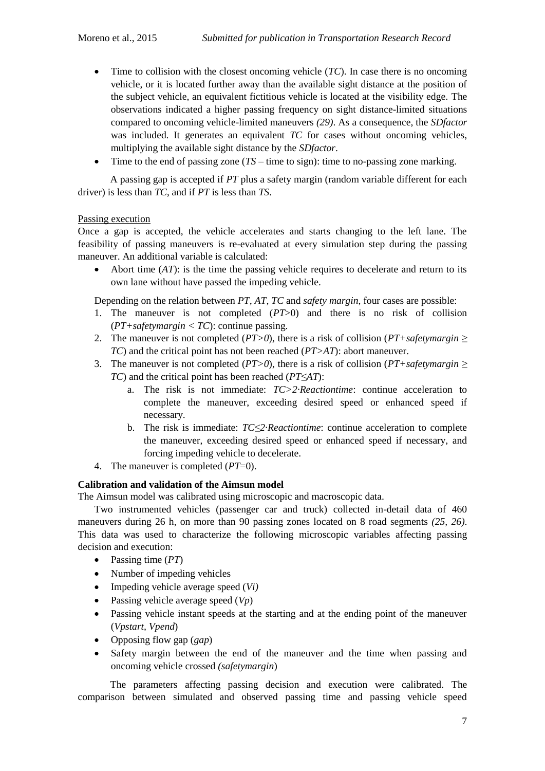- $\bullet$  Time to collision with the closest oncoming vehicle (*TC*). In case there is no oncoming vehicle, or it is located further away than the available sight distance at the position of the subject vehicle, an equivalent fictitious vehicle is located at the visibility edge. The observations indicated a higher passing frequency on sight distance-limited situations compared to oncoming vehicle-limited maneuvers *(29)*. As a consequence, the *SDfactor* was included. It generates an equivalent *TC* for cases without oncoming vehicles, multiplying the available sight distance by the *SDfactor*.
- Time to the end of passing zone (*TS* time to sign): time to no-passing zone marking.

A passing gap is accepted if *PT* plus a safety margin (random variable different for each driver) is less than *TC*, and if *PT* is less than *TS*.

## Passing execution

Once a gap is accepted, the vehicle accelerates and starts changing to the left lane. The feasibility of passing maneuvers is re-evaluated at every simulation step during the passing maneuver. An additional variable is calculated:

 Abort time (*AT*): is the time the passing vehicle requires to decelerate and return to its own lane without have passed the impeding vehicle.

Depending on the relation between *PT, AT, TC* and *safety margin*, four cases are possible:

- 1. The maneuver is not completed (*PT*>0) and there is no risk of collision  $(PT+sqrt$ gramargin < TC): continue passing.
- 2. The maneuver is not completed (*PT>0*), there is a risk of collision (*PT+safetymargin ≥ TC*) and the critical point has not been reached (*PT>AT*): abort maneuver.
- 3. The maneuver is not completed ( $PT>0$ ), there is a risk of collision ( $PT+s$ *afetymargin*  $\geq$ *TC*) and the critical point has been reached (*PT≤AT*):
	- a. The risk is not immediate: *TC>2·Reactiontime*: continue acceleration to complete the maneuver, exceeding desired speed or enhanced speed if necessary.
	- b. The risk is immediate: *TC≤2·Reactiontime*: continue acceleration to complete the maneuver, exceeding desired speed or enhanced speed if necessary, and forcing impeding vehicle to decelerate.
- 4. The maneuver is completed (*PT*=0).

# **Calibration and validation of the Aimsun model**

The Aimsun model was calibrated using microscopic and macroscopic data.

Two instrumented vehicles (passenger car and truck) collected in-detail data of 460 maneuvers during 26 h, on more than 90 passing zones located on 8 road segments *(25, 26)*. This data was used to characterize the following microscopic variables affecting passing decision and execution:

- Passing time (*PT*)
- Number of impeding vehicles
- Impeding vehicle average speed (*Vi)*
- Passing vehicle average speed (*Vp*)
- Passing vehicle instant speeds at the starting and at the ending point of the maneuver (*Vpstart, Vpend*)
- Opposing flow gap (*gap*)
- Safety margin between the end of the maneuver and the time when passing and oncoming vehicle crossed *(safetymargin*)

The parameters affecting passing decision and execution were calibrated. The comparison between simulated and observed passing time and passing vehicle speed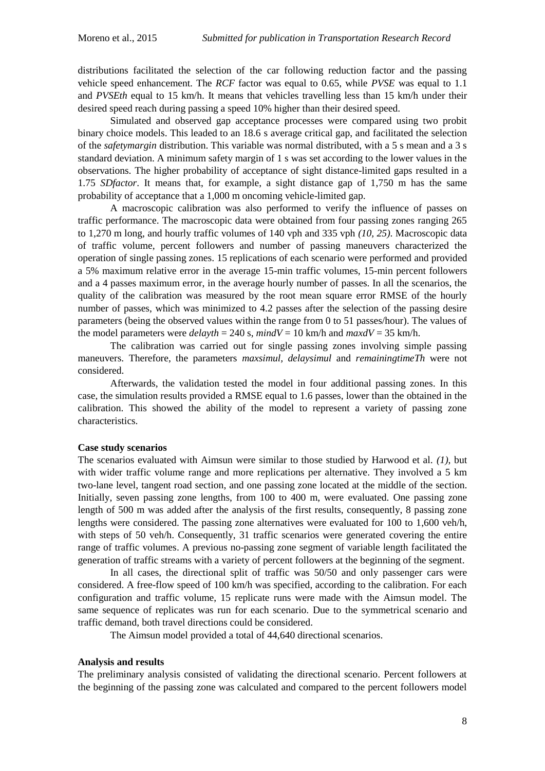distributions facilitated the selection of the car following reduction factor and the passing vehicle speed enhancement. The *RCF* factor was equal to 0.65, while *PVSE* was equal to 1.1 and *PVSEth* equal to 15 km/h. It means that vehicles travelling less than 15 km/h under their desired speed reach during passing a speed 10% higher than their desired speed.

Simulated and observed gap acceptance processes were compared using two probit binary choice models. This leaded to an 18.6 s average critical gap, and facilitated the selection of the *safetymargin* distribution. This variable was normal distributed, with a 5 s mean and a 3 s standard deviation. A minimum safety margin of 1 s was set according to the lower values in the observations. The higher probability of acceptance of sight distance-limited gaps resulted in a 1.75 *SDfactor*. It means that, for example, a sight distance gap of 1,750 m has the same probability of acceptance that a 1,000 m oncoming vehicle-limited gap.

A macroscopic calibration was also performed to verify the influence of passes on traffic performance. The macroscopic data were obtained from four passing zones ranging 265 to 1,270 m long, and hourly traffic volumes of 140 vph and 335 vph *(10, 25)*. Macroscopic data of traffic volume, percent followers and number of passing maneuvers characterized the operation of single passing zones. 15 replications of each scenario were performed and provided a 5% maximum relative error in the average 15-min traffic volumes, 15-min percent followers and a 4 passes maximum error, in the average hourly number of passes. In all the scenarios, the quality of the calibration was measured by the root mean square error RMSE of the hourly number of passes, which was minimized to 4.2 passes after the selection of the passing desire parameters (being the observed values within the range from 0 to 51 passes/hour). The values of the model parameters were  $delayth = 240$  s,  $mindV = 10$  km/h and  $maxdV = 35$  km/h.

The calibration was carried out for single passing zones involving simple passing maneuvers. Therefore, the parameters *maxsimul, delaysimul* and *remainingtimeTh* were not considered.

Afterwards, the validation tested the model in four additional passing zones. In this case, the simulation results provided a RMSE equal to 1.6 passes, lower than the obtained in the calibration. This showed the ability of the model to represent a variety of passing zone characteristics.

### **Case study scenarios**

The scenarios evaluated with Aimsun were similar to those studied by Harwood et al. *(1)*, but with wider traffic volume range and more replications per alternative. They involved a 5 km two-lane level, tangent road section, and one passing zone located at the middle of the section. Initially, seven passing zone lengths, from 100 to 400 m, were evaluated. One passing zone length of 500 m was added after the analysis of the first results, consequently, 8 passing zone lengths were considered. The passing zone alternatives were evaluated for 100 to 1,600 veh/h, with steps of 50 veh/h. Consequently, 31 traffic scenarios were generated covering the entire range of traffic volumes. A previous no-passing zone segment of variable length facilitated the generation of traffic streams with a variety of percent followers at the beginning of the segment.

In all cases, the directional split of traffic was 50/50 and only passenger cars were considered. A free-flow speed of 100 km/h was specified, according to the calibration. For each configuration and traffic volume, 15 replicate runs were made with the Aimsun model. The same sequence of replicates was run for each scenario. Due to the symmetrical scenario and traffic demand, both travel directions could be considered.

The Aimsun model provided a total of 44,640 directional scenarios.

#### **Analysis and results**

The preliminary analysis consisted of validating the directional scenario. Percent followers at the beginning of the passing zone was calculated and compared to the percent followers model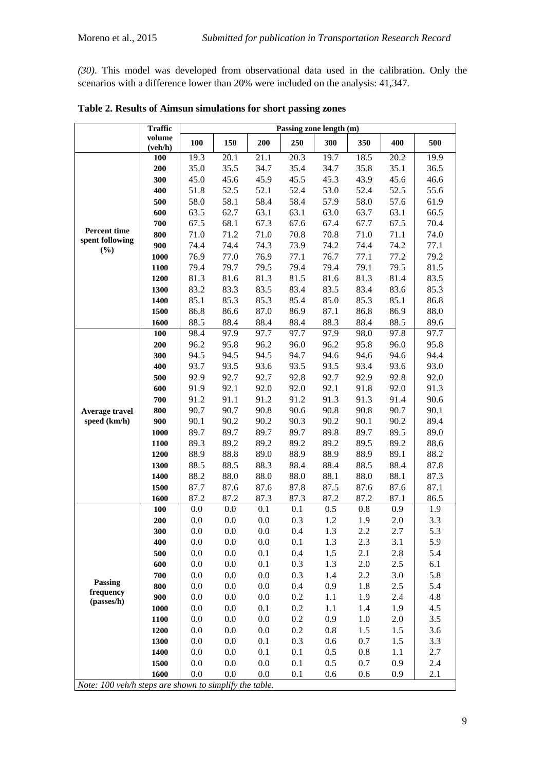*(30)*. This model was developed from observational data used in the calibration. Only the scenarios with a difference lower than 20% were included on the analysis: 41,347.

|                                                        | <b>Traffic</b>    | Passing zone length (m) |              |              |              |              |              |              |              |  |
|--------------------------------------------------------|-------------------|-------------------------|--------------|--------------|--------------|--------------|--------------|--------------|--------------|--|
|                                                        | volume<br>(veh/h) | 100                     | 150          | 200          | 250          | 300          | 350          | 400          | 500          |  |
|                                                        | 100               | 19.3                    | 20.1         | 21.1         | 20.3         | 19.7         | 18.5         | 20.2         | 19.9         |  |
|                                                        | 200               | 35.0                    | 35.5         | 34.7         | 35.4         | 34.7         | 35.8         | 35.1         | 36.5         |  |
|                                                        | 300               | 45.0                    | 45.6         | 45.9         | 45.5         | 45.3         | 43.9         | 45.6         | 46.6         |  |
|                                                        | 400               | 51.8                    | 52.5         | 52.1         | 52.4         | 53.0         | 52.4         | 52.5         | 55.6         |  |
|                                                        | 500               | 58.0                    | 58.1         | 58.4         | 58.4         | 57.9         | 58.0         | 57.6         | 61.9         |  |
|                                                        | 600               | 63.5                    | 62.7         | 63.1         | 63.1         | 63.0         | 63.7         | 63.1         | 66.5         |  |
| <b>Percent time</b>                                    | 700               | 67.5                    | 68.1         | 67.3         | 67.6         | 67.4         | 67.7         | 67.5         | 70.4         |  |
| spent following                                        | 800               | 71.0                    | 71.2         | 71.0         | 70.8         | 70.8         | 71.0         | 71.1         | 74.0         |  |
| (%)                                                    | 900               | 74.4                    | 74.4         | 74.3         | 73.9         | 74.2         | 74.4         | 74.2         | 77.1         |  |
|                                                        | 1000              | 76.9                    | 77.0         | 76.9         | 77.1         | 76.7         | 77.1         | 77.2         | 79.2         |  |
|                                                        | 1100              | 79.4                    | 79.7         | 79.5         | 79.4         | 79.4         | 79.1         | 79.5         | 81.5         |  |
|                                                        | 1200              | 81.3                    | 81.6         | 81.3         | 81.5         | 81.6         | 81.3         | 81.4         | 83.5         |  |
|                                                        | 1300              | 83.2                    | 83.3         | 83.5         | 83.4         | 83.5         | 83.4         | 83.6         | 85.3         |  |
|                                                        | 1400              | 85.1                    | 85.3         | 85.3         | 85.4         | 85.0         | 85.3         | 85.1         | 86.8         |  |
|                                                        | 1500              | 86.8                    | 86.6         | 87.0         | 86.9         | 87.1         | 86.8         | 86.9         | 88.0         |  |
|                                                        | 1600              | 88.5                    | 88.4         | 88.4         | 88.4         | 88.3         | 88.4         | 88.5         | 89.6         |  |
|                                                        | 100               | 98.4                    | 97.9         | 97.7         | 97.7         | 97.9         | 98.0         | 97.8         | 97.7         |  |
|                                                        | 200               | 96.2                    | 95.8         | 96.2         | 96.0         | 96.2         | 95.8         | 96.0         | 95.8         |  |
|                                                        | 300               | 94.5                    | 94.5         | 94.5         | 94.7         | 94.6         | 94.6         | 94.6         | 94.4         |  |
|                                                        | 400               | 93.7                    | 93.5         | 93.6         | 93.5         | 93.5         | 93.4         | 93.6         | 93.0         |  |
|                                                        | 500               | 92.9                    | 92.7         | 92.7         | 92.8         | 92.7         | 92.9         | 92.8         | 92.0         |  |
|                                                        | 600               | 91.9                    | 92.1         | 92.0         | 92.0         | 92.1         | 91.8         | 92.0         | 91.3         |  |
|                                                        | 700               | 91.2                    | 91.1         | 91.2         | 91.2         | 91.3         | 91.3         | 91.4         | 90.6         |  |
| Average travel                                         | 800               | 90.7                    | 90.7         | 90.8         | 90.6         | 90.8         | 90.8         | 90.7         | 90.1         |  |
| speed (km/h)                                           | 900               | 90.1                    | 90.2         | 90.2         | 90.3         | 90.2         | 90.1         | 90.2         | 89.4         |  |
|                                                        | 1000              | 89.7                    | 89.7         | 89.7         | 89.7         | 89.8         | 89.7         | 89.5         | 89.0         |  |
|                                                        | 1100              | 89.3                    | 89.2         | 89.2         | 89.2         | 89.2         | 89.5         | 89.2         | 88.6         |  |
|                                                        | 1200              | 88.9<br>88.5            | 88.8         | 89.0         | 88.9<br>88.4 | 88.9         | 88.9         | 89.1         | 88.2         |  |
|                                                        | 1300              | 88.2                    | 88.5<br>88.0 | 88.3<br>88.0 | 88.0         | 88.4<br>88.1 | 88.5         | 88.4<br>88.1 | 87.8<br>87.3 |  |
|                                                        | 1400<br>1500      | 87.7                    | 87.6         | 87.6         | 87.8         | 87.5         | 88.0<br>87.6 | 87.6         | 87.1         |  |
|                                                        | 1600              | 87.2                    | 87.2         | 87.3         | 87.3         | 87.2         | 87.2         | 87.1         | 86.5         |  |
|                                                        | 100               | 0.0                     | 0.0          | 0.1          | 0.1          | 0.5          | 0.8          | 0.9          | 1.9          |  |
|                                                        | 200               | 0.0                     | 0.0          | 0.0          | 0.3          | 1.2          | 1.9          | 2.0          | 3.3          |  |
|                                                        | 300               | $0.0\,$                 | $0.0\,$      | $0.0\,$      | 0.4          | $1.3\,$      | 2.2          | 2.7          | 5.3          |  |
|                                                        | 400               | 0.0                     | 0.0          | 0.0          | 0.1          | 1.3          | 2.3          | 3.1          | 5.9          |  |
|                                                        | 500               | 0.0                     | 0.0          | 0.1          | 0.4          | 1.5          | 2.1          | 2.8          | 5.4          |  |
|                                                        | 600               | 0.0                     | 0.0          | 0.1          | 0.3          | 1.3          | 2.0          | 2.5          | 6.1          |  |
|                                                        | 700               | 0.0                     | 0.0          | $0.0\,$      | 0.3          | 1.4          | 2.2          | 3.0          | 5.8          |  |
| Passing                                                | 800               | 0.0                     | 0.0          | $0.0\,$      | 0.4          | 0.9          | 1.8          | 2.5          | 5.4          |  |
| frequency                                              | 900               | 0.0                     | 0.0          | $0.0\,$      | 0.2          | 1.1          | 1.9          | 2.4          | 4.8          |  |
| (passes/h)                                             | 1000              | 0.0                     | 0.0          | 0.1          | 0.2          | 1.1          | 1.4          | 1.9          | 4.5          |  |
|                                                        | 1100              | 0.0                     | 0.0          | $0.0\,$      | 0.2          | 0.9          | 1.0          | 2.0          | 3.5          |  |
|                                                        | 1200              | 0.0                     | 0.0          | $0.0\,$      | 0.2          | 0.8          | 1.5          | 1.5          | 3.6          |  |
|                                                        | 1300              | 0.0                     | 0.0          | 0.1          | 0.3          | 0.6          | 0.7          | 1.5          | 3.3          |  |
|                                                        | 1400              | 0.0                     | 0.0          | 0.1          | 0.1          | 0.5          | 0.8          | 1.1          | 2.7          |  |
|                                                        | 1500              | 0.0                     | 0.0          | $0.0\,$      | 0.1          | 0.5          | 0.7          | 0.9          | 2.4          |  |
|                                                        | 1600              | 0.0                     | 0.0          | 0.0          | 0.1          | 0.6          | 0.6          | 0.9          | 2.1          |  |
| Note: 100 veh/h steps are shown to simplify the table. |                   |                         |              |              |              |              |              |              |              |  |

<span id="page-9-0"></span>**Table 2. Results of Aimsun simulations for short passing zones**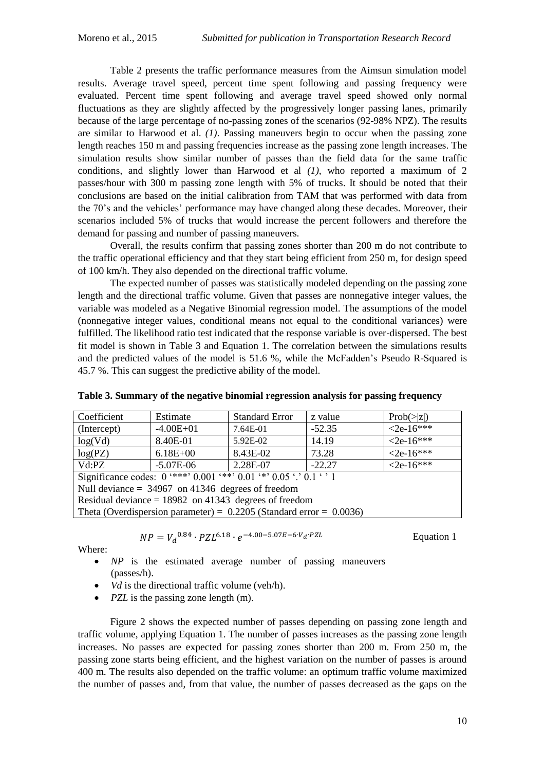[Table 2](#page-9-0) presents the traffic performance measures from the Aimsun simulation model results. Average travel speed, percent time spent following and passing frequency were evaluated. Percent time spent following and average travel speed showed only normal fluctuations as they are slightly affected by the progressively longer passing lanes, primarily because of the large percentage of no-passing zones of the scenarios (92-98% NPZ). The results are similar to Harwood et al. *(1)*. Passing maneuvers begin to occur when the passing zone length reaches 150 m and passing frequencies increase as the passing zone length increases. The simulation results show similar number of passes than the field data for the same traffic conditions, and slightly lower than Harwood et al *(1)*, who reported a maximum of 2 passes/hour with 300 m passing zone length with 5% of trucks. It should be noted that their conclusions are based on the initial calibration from TAM that was performed with data from the 70's and the vehicles' performance may have changed along these decades. Moreover, their scenarios included 5% of trucks that would increase the percent followers and therefore the demand for passing and number of passing maneuvers.

Overall, the results confirm that passing zones shorter than 200 m do not contribute to the traffic operational efficiency and that they start being efficient from 250 m, for design speed of 100 km/h. They also depended on the directional traffic volume.

The expected number of passes was statistically modeled depending on the passing zone length and the directional traffic volume. Given that passes are nonnegative integer values, the variable was modeled as a Negative Binomial regression model. The assumptions of the model (nonnegative integer values, conditional means not equal to the conditional variances) were fulfilled. The likelihood ratio test indicated that the response variable is over-dispersed. The best fit model is shown in [Table 3](#page-10-0) and Equation 1. The correlation between the simulations results and the predicted values of the model is 51.6 %, while the McFadden's Pseudo R-Squared is 45.7 %. This can suggest the predictive ability of the model.

| Coefficient                                                                            | Estimate      | <b>Standard Error</b> | z value  |                    |  |  |  |
|----------------------------------------------------------------------------------------|---------------|-----------------------|----------|--------------------|--|--|--|
| (Intercept)                                                                            | $-4.00E + 01$ | 7.64E-01              | $-52.35$ | $< 2e - 16***$     |  |  |  |
| log(Vd)                                                                                | 8.40E-01      | 5.92E-02              | 14.19    | $\leq 2e-16^{***}$ |  |  |  |
| log(PZ)                                                                                | $6.18E + 00$  | 8.43E-02              | 73.28    | $< 2e-16***$       |  |  |  |
| Vd:PZ                                                                                  | $-5.07E-06$   | 2.28E-07              | $-22.27$ | $\leq 2e-16***$    |  |  |  |
| Significance codes: $0$ '***' $0.001$ '**' $0.01$ '*' $\overline{0.05}$ '.' $0.1$ ' '1 |               |                       |          |                    |  |  |  |
| Null deviance $= 34967$ on 41346 degrees of freedom                                    |               |                       |          |                    |  |  |  |
| Residual deviance = $18982$ on 41343 degrees of freedom                                |               |                       |          |                    |  |  |  |
| Theta (Overdispersion parameter) = $0.2205$ (Standard error = 0.0036)                  |               |                       |          |                    |  |  |  |

<span id="page-10-0"></span>**Table 3. Summary of the negative binomial regression analysis for passing frequency**

$$
NP = V_d^{0.84} \cdot PZL^{6.18} \cdot e^{-4.00 - 5.07E - 6 \cdot V_d \cdot PZL}
$$

Equation 1

Where:

- *NP* is the estimated average number of passing maneuvers (passes/h).
- *Vd* is the directional traffic volume (veh/h).
- *PZL* is the passing zone length (m).

[Figure 2](#page-11-0) shows the expected number of passes depending on passing zone length and traffic volume, applying Equation 1. The number of passes increases as the passing zone length increases. No passes are expected for passing zones shorter than 200 m. From 250 m, the passing zone starts being efficient, and the highest variation on the number of passes is around 400 m. The results also depended on the traffic volume: an optimum traffic volume maximized the number of passes and, from that value, the number of passes decreased as the gaps on the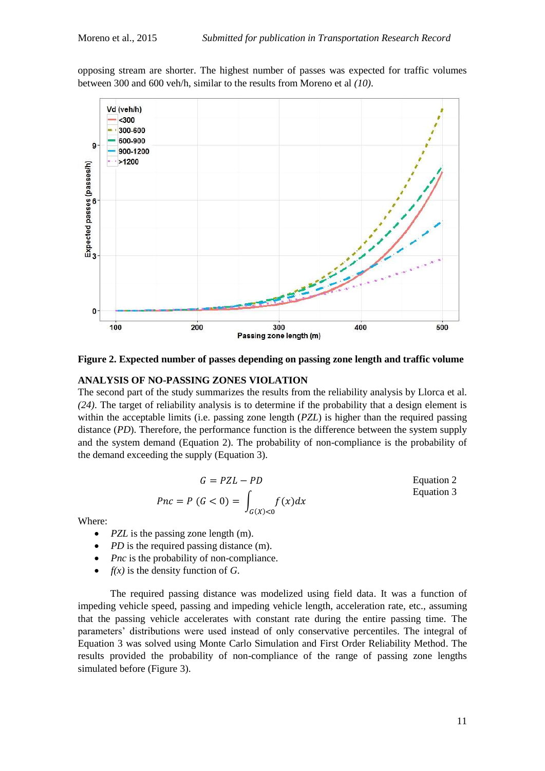opposing stream are shorter. The highest number of passes was expected for traffic volumes between 300 and 600 veh/h, similar to the results from Moreno et al *(10)*.



<span id="page-11-0"></span>**Figure 2. Expected number of passes depending on passing zone length and traffic volume**

#### **ANALYSIS OF NO-PASSING ZONES VIOLATION**

The second part of the study summarizes the results from the reliability analysis by Llorca et al. *(24)*. The target of reliability analysis is to determine if the probability that a design element is within the acceptable limits (i.e. passing zone length (*PZL*) is higher than the required passing distance (*PD*). Therefore, the performance function is the difference between the system supply and the system demand (Equation 2). The probability of non-compliance is the probability of the demand exceeding the supply (Equation 3).

$$
G = PZL - PD
$$
 Equation 2  
 
$$
Pnc = P (G < 0) = \int_{G(X) < 0} f(x) dx
$$
 Equation 3

Where:

- *PZL* is the passing zone length (m).
- *PD* is the required passing distance (m).
- *Pnc* is the probability of non-compliance.
- $f(x)$  is the density function of *G*.

The required passing distance was modelized using field data. It was a function of impeding vehicle speed, passing and impeding vehicle length, acceleration rate, etc., assuming that the passing vehicle accelerates with constant rate during the entire passing time. The parameters' distributions were used instead of only conservative percentiles. The integral of Equation 3 was solved using Monte Carlo Simulation and First Order Reliability Method. The results provided the probability of non-compliance of the range of passing zone lengths simulated before [\(Figure 3\)](#page-12-0).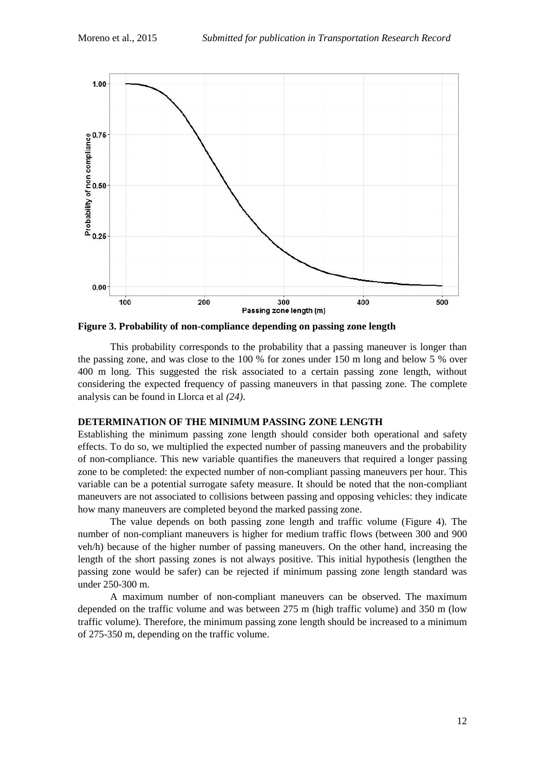

<span id="page-12-0"></span>**Figure 3. Probability of non-compliance depending on passing zone length**

This probability corresponds to the probability that a passing maneuver is longer than the passing zone, and was close to the 100 % for zones under 150 m long and below 5 % over 400 m long. This suggested the risk associated to a certain passing zone length, without considering the expected frequency of passing maneuvers in that passing zone. The complete analysis can be found in Llorca et al *(24)*.

#### **DETERMINATION OF THE MINIMUM PASSING ZONE LENGTH**

Establishing the minimum passing zone length should consider both operational and safety effects. To do so, we multiplied the expected number of passing maneuvers and the probability of non-compliance. This new variable quantifies the maneuvers that required a longer passing zone to be completed: the expected number of non-compliant passing maneuvers per hour. This variable can be a potential surrogate safety measure. It should be noted that the non-compliant maneuvers are not associated to collisions between passing and opposing vehicles: they indicate how many maneuvers are completed beyond the marked passing zone.

The value depends on both passing zone length and traffic volume [\(Figure 4\)](#page-13-0). The number of non-compliant maneuvers is higher for medium traffic flows (between 300 and 900 veh/h) because of the higher number of passing maneuvers. On the other hand, increasing the length of the short passing zones is not always positive. This initial hypothesis (lengthen the passing zone would be safer) can be rejected if minimum passing zone length standard was under 250-300 m.

A maximum number of non-compliant maneuvers can be observed. The maximum depended on the traffic volume and was between 275 m (high traffic volume) and 350 m (low traffic volume). Therefore, the minimum passing zone length should be increased to a minimum of 275-350 m, depending on the traffic volume.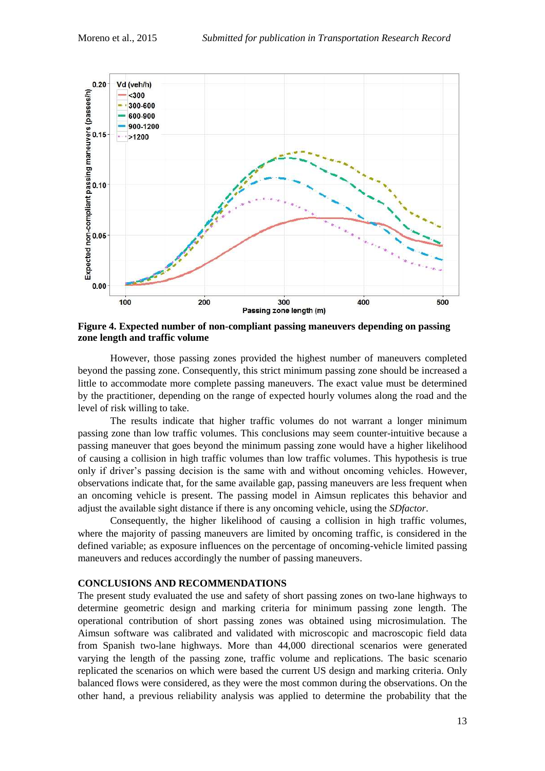

<span id="page-13-0"></span>**Figure 4. Expected number of non-compliant passing maneuvers depending on passing zone length and traffic volume**

However, those passing zones provided the highest number of maneuvers completed beyond the passing zone. Consequently, this strict minimum passing zone should be increased a little to accommodate more complete passing maneuvers. The exact value must be determined by the practitioner, depending on the range of expected hourly volumes along the road and the level of risk willing to take.

The results indicate that higher traffic volumes do not warrant a longer minimum passing zone than low traffic volumes. This conclusions may seem counter-intuitive because a passing maneuver that goes beyond the minimum passing zone would have a higher likelihood of causing a collision in high traffic volumes than low traffic volumes. This hypothesis is true only if driver's passing decision is the same with and without oncoming vehicles. However, observations indicate that, for the same available gap, passing maneuvers are less frequent when an oncoming vehicle is present. The passing model in Aimsun replicates this behavior and adjust the available sight distance if there is any oncoming vehicle, using the *SDfactor*.

Consequently, the higher likelihood of causing a collision in high traffic volumes, where the majority of passing maneuvers are limited by oncoming traffic, is considered in the defined variable; as exposure influences on the percentage of oncoming-vehicle limited passing maneuvers and reduces accordingly the number of passing maneuvers.

#### **CONCLUSIONS AND RECOMMENDATIONS**

The present study evaluated the use and safety of short passing zones on two-lane highways to determine geometric design and marking criteria for minimum passing zone length. The operational contribution of short passing zones was obtained using microsimulation. The Aimsun software was calibrated and validated with microscopic and macroscopic field data from Spanish two-lane highways. More than 44,000 directional scenarios were generated varying the length of the passing zone, traffic volume and replications. The basic scenario replicated the scenarios on which were based the current US design and marking criteria. Only balanced flows were considered, as they were the most common during the observations. On the other hand, a previous reliability analysis was applied to determine the probability that the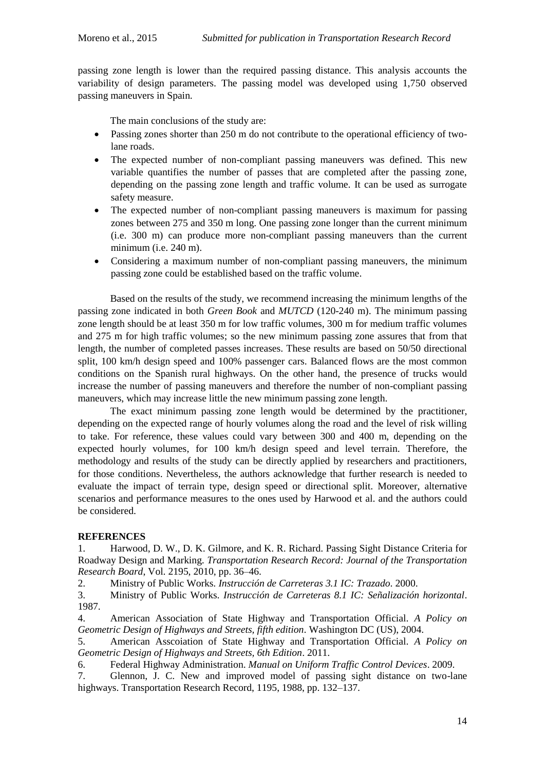passing zone length is lower than the required passing distance. This analysis accounts the variability of design parameters. The passing model was developed using 1,750 observed passing maneuvers in Spain.

The main conclusions of the study are:

- Passing zones shorter than 250 m do not contribute to the operational efficiency of twolane roads.
- The expected number of non-compliant passing maneuvers was defined. This new variable quantifies the number of passes that are completed after the passing zone, depending on the passing zone length and traffic volume. It can be used as surrogate safety measure.
- The expected number of non-compliant passing maneuvers is maximum for passing zones between 275 and 350 m long. One passing zone longer than the current minimum (i.e. 300 m) can produce more non-compliant passing maneuvers than the current minimum (i.e. 240 m).
- Considering a maximum number of non-compliant passing maneuvers, the minimum passing zone could be established based on the traffic volume.

Based on the results of the study, we recommend increasing the minimum lengths of the passing zone indicated in both *Green Book* and *MUTCD* (120-240 m). The minimum passing zone length should be at least 350 m for low traffic volumes, 300 m for medium traffic volumes and 275 m for high traffic volumes; so the new minimum passing zone assures that from that length, the number of completed passes increases. These results are based on 50/50 directional split, 100 km/h design speed and 100% passenger cars. Balanced flows are the most common conditions on the Spanish rural highways. On the other hand, the presence of trucks would increase the number of passing maneuvers and therefore the number of non-compliant passing maneuvers, which may increase little the new minimum passing zone length.

The exact minimum passing zone length would be determined by the practitioner, depending on the expected range of hourly volumes along the road and the level of risk willing to take. For reference, these values could vary between 300 and 400 m, depending on the expected hourly volumes, for 100 km/h design speed and level terrain. Therefore, the methodology and results of the study can be directly applied by researchers and practitioners, for those conditions. Nevertheless, the authors acknowledge that further research is needed to evaluate the impact of terrain type, design speed or directional split. Moreover, alternative scenarios and performance measures to the ones used by Harwood et al. and the authors could be considered.

# **REFERENCES**

1. Harwood, D. W., D. K. Gilmore, and K. R. Richard. Passing Sight Distance Criteria for Roadway Design and Marking. *Transportation Research Record: Journal of the Transportation Research Board*, Vol. 2195, 2010, pp. 36–46.

2. Ministry of Public Works. *Instrucción de Carreteras 3.1 IC: Trazado*. 2000.

3. Ministry of Public Works. *Instrucción de Carreteras 8.1 IC: Señalización horizontal*. 1987.

4. American Association of State Highway and Transportation Official. *A Policy on Geometric Design of Highways and Streets, fifth edition*. Washington DC (US), 2004.

5. American Asscoiation of State Highway and Transportation Official. *A Policy on Geometric Design of Highways and Streets, 6th Edition*. 2011.

6. Federal Highway Administration. *Manual on Uniform Traffic Control Devices*. 2009.

7. Glennon, J. C. New and improved model of passing sight distance on two-lane highways. Transportation Research Record, 1195, 1988, pp. 132–137.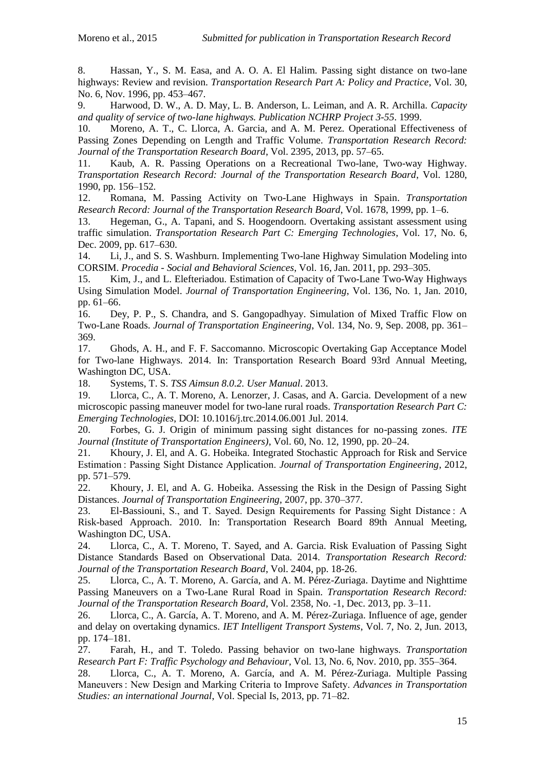8. Hassan, Y., S. M. Easa, and A. O. A. El Halim. Passing sight distance on two-lane highways: Review and revision. *Transportation Research Part A: Policy and Practice*, Vol. 30, No. 6, Nov. 1996, pp. 453–467.

9. Harwood, D. W., A. D. May, L. B. Anderson, L. Leiman, and A. R. Archilla. *Capacity and quality of service of two-lane highways. Publication NCHRP Project 3-55*. 1999.

10. Moreno, A. T., C. Llorca, A. Garcia, and A. M. Perez. Operational Effectiveness of Passing Zones Depending on Length and Traffic Volume. *Transportation Research Record: Journal of the Transportation Research Board*, Vol. 2395, 2013, pp. 57–65.

11. Kaub, A. R. Passing Operations on a Recreational Two-lane, Two-way Highway. *Transportation Research Record: Journal of the Transportation Research Board*, Vol. 1280, 1990, pp. 156–152.

12. Romana, M. Passing Activity on Two-Lane Highways in Spain. *Transportation Research Record: Journal of the Transportation Research Board*, Vol. 1678, 1999, pp. 1–6.

13. Hegeman, G., A. Tapani, and S. Hoogendoorn. Overtaking assistant assessment using traffic simulation. *Transportation Research Part C: Emerging Technologies*, Vol. 17, No. 6, Dec. 2009, pp. 617–630.

14. Li, J., and S. S. Washburn. Implementing Two-lane Highway Simulation Modeling into CORSIM. *Procedia - Social and Behavioral Sciences*, Vol. 16, Jan. 2011, pp. 293–305.

15. Kim, J., and L. Elefteriadou. Estimation of Capacity of Two-Lane Two-Way Highways Using Simulation Model. *Journal of Transportation Engineering*, Vol. 136, No. 1, Jan. 2010, pp. 61–66.

16. Dey, P. P., S. Chandra, and S. Gangopadhyay. Simulation of Mixed Traffic Flow on Two-Lane Roads. *Journal of Transportation Engineering*, Vol. 134, No. 9, Sep. 2008, pp. 361– 369.

17. Ghods, A. H., and F. F. Saccomanno. Microscopic Overtaking Gap Acceptance Model for Two-lane Highways. 2014. In: Transportation Research Board 93rd Annual Meeting, Washington DC, USA.

18. Systems, T. S. *TSS Aimsun 8.0.2. User Manual*. 2013.

19. Llorca, C., A. T. Moreno, A. Lenorzer, J. Casas, and A. Garcia. Development of a new microscopic passing maneuver model for two-lane rural roads. *Transportation Research Part C: Emerging Technologies*, DOI: 10.1016/j.trc.2014.06.001 Jul. 2014.

20. Forbes, G. J. Origin of minimum passing sight distances for no-passing zones. *ITE Journal (Institute of Transportation Engineers)*, Vol. 60, No. 12, 1990, pp. 20–24.

21. Khoury, J. El, and A. G. Hobeika. Integrated Stochastic Approach for Risk and Service Estimation : Passing Sight Distance Application. *Journal of Transportation Engineering*, 2012, pp. 571–579.

22. Khoury, J. El, and A. G. Hobeika. Assessing the Risk in the Design of Passing Sight Distances. *Journal of Transportation Engineering*, 2007, pp. 370–377.

23. El-Bassiouni, S., and T. Sayed. Design Requirements for Passing Sight Distance : A Risk-based Approach. 2010. In: Transportation Research Board 89th Annual Meeting, Washington DC, USA.

24. Llorca, C., A. T. Moreno, T. Sayed, and A. Garcia. Risk Evaluation of Passing Sight Distance Standards Based on Observational Data. 2014. *Transportation Research Record: Journal of the Transportation Research Board*, Vol. 2404, pp. 18-26.

25. Llorca, C., A. T. Moreno, A. García, and A. M. Pérez-Zuriaga. Daytime and Nighttime Passing Maneuvers on a Two-Lane Rural Road in Spain. *Transportation Research Record: Journal of the Transportation Research Board*, Vol. 2358, No. -1, Dec. 2013, pp. 3–11.

26. Llorca, C., A. García, A. T. Moreno, and A. M. Pérez-Zuriaga. Influence of age, gender and delay on overtaking dynamics. *IET Intelligent Transport Systems*, Vol. 7, No. 2, Jun. 2013, pp. 174–181.

27. Farah, H., and T. Toledo. Passing behavior on two-lane highways. *Transportation Research Part F: Traffic Psychology and Behaviour*, Vol. 13, No. 6, Nov. 2010, pp. 355–364.

28. Llorca, C., A. T. Moreno, A. García, and A. M. Pérez-Zuriaga. Multiple Passing Maneuvers : New Design and Marking Criteria to Improve Safety. *Advances in Transportation Studies: an international Journal*, Vol. Special Is, 2013, pp. 71–82.